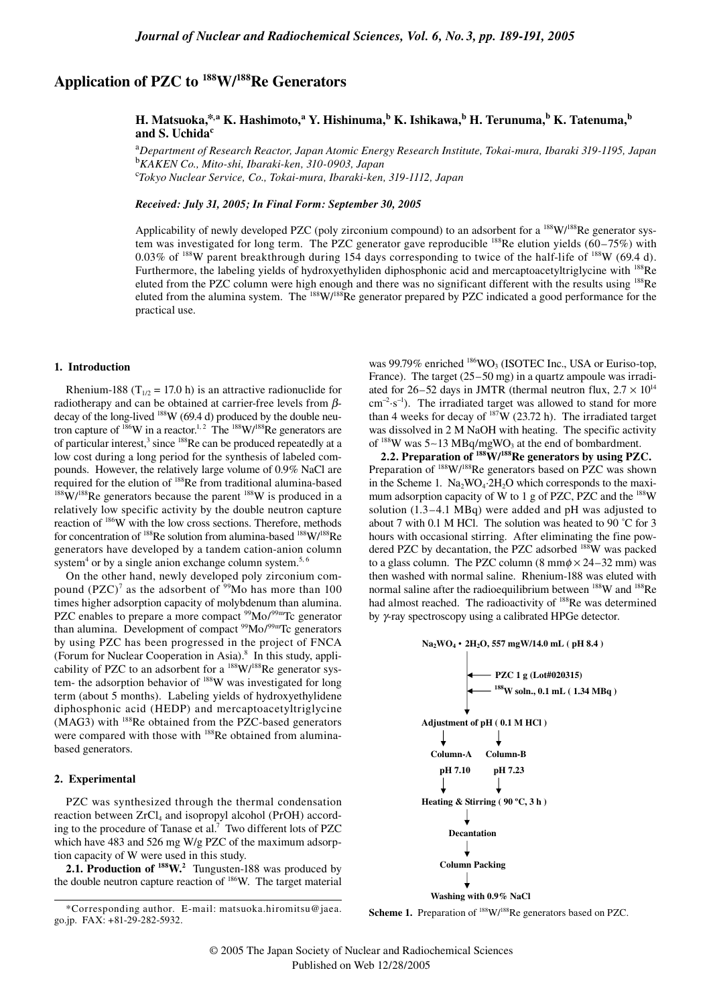# **Application of PZC to 188W/188Re Generators**

## **H.** Matsuoka,\*,a K. Hashimoto,a Y. Hishinuma, $^{\rm b}$  K. Ishikawa, $^{\rm b}$  H. Terunuma, $^{\rm b}$  K. Tatenuma, $^{\rm b}$ **and S. Uchida<sup>c</sup>**

a *Department of Research Reactor, Japan Atomic Energy Research Institute, Tokai-mura, Ibaraki 319-1195, Japan* b *KAKEN Co., Mito-shi, Ibaraki-ken, 310-0903, Japan* c *Tokyo Nuclear Service, Co., Tokai-mura, Ibaraki-ken, 319-1112, Japan*

*Received: July 31, 2005; In Final Form: September 30, 2005*

Applicability of newly developed PZC (poly zirconium compound) to an adsorbent for a <sup>188</sup>W/<sup>188</sup>Re generator system was investigated for long term. The PZC generator gave reproducible  $^{188}$ Re elution yields (60–75%) with 0.03% of 188W parent breakthrough during 154 days corresponding to twice of the half-life of 188W (69.4 d). Furthermore, the labeling yields of hydroxyethyliden diphosphonic acid and mercaptoacetyltriglycine with <sup>188</sup>Re eluted from the PZC column were high enough and there was no significant different with the results using <sup>188</sup>Re eluted from the alumina system. The <sup>188</sup>W/<sup>188</sup>Re generator prepared by PZC indicated a good performance for the practical use.

#### **1. Introduction**

Rhenium-188 (T<sub>1/2</sub> = 17.0 h) is an attractive radionuclide for radiotherapy and can be obtained at carrier-free levels from  $\beta$ decay of the long-lived  $188$ W (69.4 d) produced by the double neutron capture of  $186$ W in a reactor.<sup>1, 2</sup> The  $188$ W/ $188$ Re generators are of particular interest,<sup>3</sup> since <sup>188</sup>Re can be produced repeatedly at a low cost during a long period for the synthesis of labeled compounds. However, the relatively large volume of 0.9% NaCl are required for the elution of  $^{188}$ Re from traditional alumina-based  $^{188}$ W/ $^{188}$ Re generators because the parent  $^{188}$ W is produced in a relatively low specific activity by the double neutron capture reaction of 186W with the low cross sections. Therefore, methods for concentration of <sup>188</sup>Re solution from alumina-based <sup>188</sup>W/<sup>188</sup>Re generators have developed by a tandem cation-anion column system<sup>4</sup> or by a single anion exchange column system.<sup>5, 6</sup>

On the other hand, newly developed poly zirconium compound  $(PZC)^7$  as the adsorbent of <sup>99</sup>Mo has more than 100 times higher adsorption capacity of molybdenum than alumina. PZC enables to prepare a more compact  $99$ Mo/ $99$ mTc generator than alumina. Development of compact <sup>99</sup>Mo/<sup>99m</sup>Tc generators by using PZC has been progressed in the project of FNCA (Forum for Nuclear Cooperation in Asia).<sup>8</sup> In this study, applicability of PZC to an adsorbent for a <sup>188</sup>W/<sup>188</sup>Re generator system- the adsorption behavior of <sup>188</sup>W was investigated for long term (about 5 months). Labeling yields of hydroxyethylidene diphosphonic acid (HEDP) and mercaptoacetyltriglycine (MAG3) with 188Re obtained from the PZC-based generators were compared with those with <sup>188</sup>Re obtained from aluminabased generators.

#### **2. Experimental**

PZC was synthesized through the thermal condensation reaction between  $ZrCl_4$  and isopropyl alcohol (PrOH) according to the procedure of Tanase et al.<sup>7</sup> Two different lots of PZC which have 483 and 526 mg W/g PZC of the maximum adsorption capacity of W were used in this study.

**2.1. Production of <sup>188</sup>W.**<sup>2</sup> Tungusten-188 was produced by the double neutron capture reaction of 186W. The target material

was 99.79% enriched  $^{186}WO_3$  (ISOTEC Inc., USA or Euriso-top, France). The target (25–50 mg) in a quartz ampoule was irradiated for 26–52 days in JMTR (thermal neutron flux,  $2.7 \times 10^{14}$ cm<sup>-2</sup>⋅s<sup>-1</sup>). The irradiated target was allowed to stand for more than 4 weeks for decay of  $187W$  (23.72 h). The irradiated target was dissolved in 2 M NaOH with heating. The specific activity of <sup>188</sup>W was 5∼13 MBq/mgWO<sub>3</sub> at the end of bombardment.

**2.2. Preparation of 188W/188Re generators by using PZC.** Preparation of <sup>188</sup>W/<sup>188</sup>Re generators based on PZC was shown in the Scheme 1.  $Na_2WO_4.2H_2O$  which corresponds to the maximum adsorption capacity of W to 1 g of PZC, PZC and the 188W solution (1.3–4.1 MBq) were added and pH was adjusted to about 7 with 0.1 M HCl. The solution was heated to 90 ˚C for 3 hours with occasional stirring. After eliminating the fine powdered PZC by decantation, the PZC adsorbed <sup>188</sup>W was packed to a glass column. The PZC column  $(8 \text{ mm} \phi \times 24 - 32 \text{ mm})$  was then washed with normal saline. Rhenium-188 was eluted with normal saline after the radioequilibrium between <sup>188</sup>W and <sup>188</sup>Re had almost reached. The radioactivity of <sup>188</sup>Re was determined by γ-ray spectroscopy using a calibrated HPGe detector.

**Na2WO4** • **2H2O, 557 mgW/14.0 mL ( pH 8.4 ) PZC 1 g (Lot#020315) 188 W soln., 0.1 mL ( 1.34 MBq ) Adjustment of pH ( 0.1 M HCl ) Column-A Column-B pH 7.10 pH 7.23 Heating & Stirring ( 90 ºC, 3 h ) Decantation Column Packing Washing with 0.9% NaCl**

Scheme 1. Preparation of <sup>188</sup>W/<sup>188</sup>Re generators based on PZC.

<sup>\*</sup>Corresponding author. E-mail: matsuoka.hiromitsu@jaea. go.jp. FAX: +81-29-282-5932.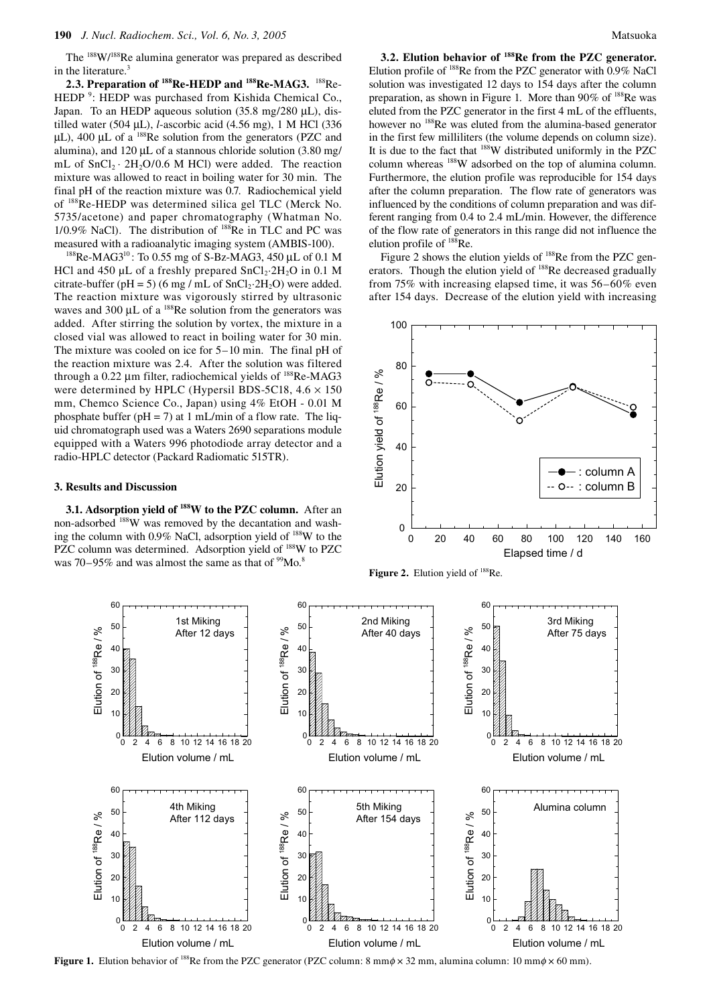The <sup>188</sup>W/<sup>188</sup>Re alumina generator was prepared as described in the literature.<sup>3</sup>

**2.3. Preparation of 188Re-HEDP and 188Re-MAG3.** 188Re-HEDP<sup>9</sup>: HEDP was purchased from Kishida Chemical Co., Japan. To an HEDP aqueous solution (35.8 mg/280 µL), distilled water (504 µL), *l*-ascorbic acid (4.56 mg), 1 M HCl (336  $\mu$ L), 400  $\mu$ L of a <sup>188</sup>Re solution from the generators (PZC and alumina), and 120  $\mu$ L of a stannous chloride solution (3.80 mg/ mL of  $SnCl<sub>2</sub> \cdot 2H<sub>2</sub>O/0.6$  M HCl) were added. The reaction mixture was allowed to react in boiling water for 30 min. The final pH of the reaction mixture was 0.7. Radiochemical yield of 188Re-HEDP was determined silica gel TLC (Merck No. 5735/acetone) and paper chromatography (Whatman No. 1/0.9% NaCl). The distribution of 188Re in TLC and PC was measured with a radioanalytic imaging system (AMBIS-100).

 $188$ Re-MAG3<sup>10</sup>: To 0.55 mg of S-Bz-MAG3, 450 µL of 0.1 M HCl and  $450 \mu L$  of a freshly prepared  $SnCl<sub>2</sub>·2H<sub>2</sub>O$  in 0.1 M citrate-buffer (pH = 5) (6 mg / mL of  $SnCl<sub>2</sub>·2H<sub>2</sub>O$ ) were added. The reaction mixture was vigorously stirred by ultrasonic waves and 300  $\mu$ L of a <sup>188</sup>Re solution from the generators was added. After stirring the solution by vortex, the mixture in a closed vial was allowed to react in boiling water for 30 min. The mixture was cooled on ice for 5–10 min. The final pH of the reaction mixture was 2.4. After the solution was filtered through a  $0.22 \mu m$  filter, radiochemical yields of  $^{188}$ Re-MAG3 were determined by HPLC (Hypersil BDS-5C18,  $4.6 \times 150$ mm, Chemco Science Co., Japan) using 4% EtOH - 0.01 M phosphate buffer ( $pH = 7$ ) at 1 mL/min of a flow rate. The liquid chromatograph used was a Waters 2690 separations module equipped with a Waters 996 photodiode array detector and a radio-HPLC detector (Packard Radiomatic 515TR).

#### **3. Results and Discussion**

**3.1. Adsorption yield of 188W to the PZC column.** After an non-adsorbed 188W was removed by the decantation and washing the column with 0.9% NaCl, adsorption yield of 188W to the PZC column was determined. Adsorption yield of <sup>188</sup>W to PZC was 70–95% and was almost the same as that of  $\rm{^{99}Mo.^8}$ 

**3.2. Elution behavior of 188Re from the PZC generator.**  Elution profile of 188Re from the PZC generator with 0.9% NaCl solution was investigated 12 days to 154 days after the column preparation, as shown in Figure 1. More than 90% of <sup>188</sup>Re was eluted from the PZC generator in the first 4 mL of the effluents, however no <sup>188</sup>Re was eluted from the alumina-based generator in the first few milliliters (the volume depends on column size). It is due to the fact that 188W distributed uniformly in the PZC column whereas 188W adsorbed on the top of alumina column. Furthermore, the elution profile was reproducible for 154 days after the column preparation. The flow rate of generators was influenced by the conditions of column preparation and was different ranging from 0.4 to 2.4 mL/min. However, the difference of the flow rate of generators in this range did not influence the elution profile of 188Re.

Figure 2 shows the elution yields of <sup>188</sup>Re from the PZC generators. Though the elution yield of <sup>188</sup>Re decreased gradually from 75% with increasing elapsed time, it was 56–60% even after 154 days. Decrease of the elution yield with increasing



Figure 2. Elution yield of <sup>188</sup>Re.



**Figure 1.** Elution behavior of <sup>188</sup>Re from the PZC generator (PZC column: 8 mm $\phi \times 32$  mm, alumina column: 10 mm $\phi \times 60$  mm).